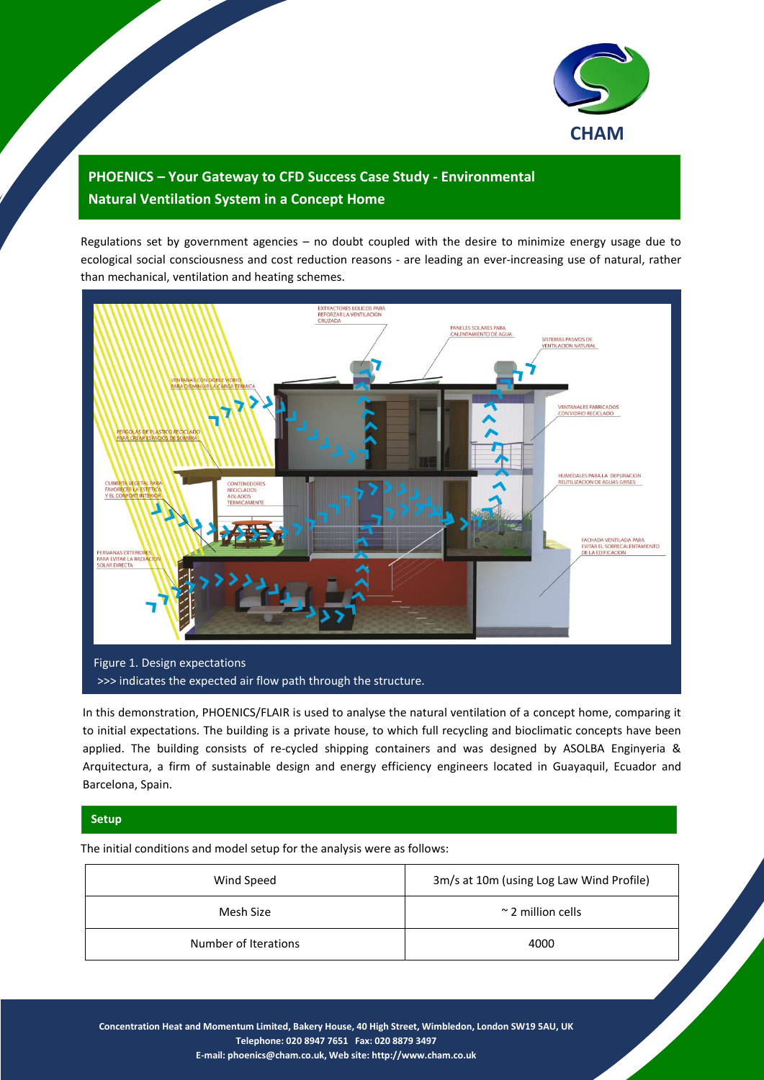

## **PHOENICS – Your Gateway to CFD Success Case Study - Environmental Natural Ventilation System in a Concept Home**

Regulations set by government agencies – no doubt coupled with the desire to minimize energy usage due to ecological social consciousness and cost reduction reasons - are leading an ever-increasing use of natural, rather than mechanical, ventilation and heating schemes.



In this demonstration, PHOENICS/FLAIR is used to analyse the natural ventilation of a concept home, comparing it to initial expectations. The building is a private house, to which full recycling and bioclimatic concepts have been applied. The building consists of re-cycled shipping containers and was designed by ASOLBA Enginyeria & Arquitectura, a firm of sustainable design and energy efficiency engineers located in Guayaquil, Ecuador and Barcelona, Spain.

## **Setup**

The initial conditions and model setup for the analysis were as follows:

| Wind Speed           | 3m/s at 10m (using Log Law Wind Profile) |
|----------------------|------------------------------------------|
| Mesh Size            | $\approx$ 2 million cells                |
| Number of Iterations | 4000                                     |

**Concentration Heat and Momentum Limited, Bakery House, 40 High Street, Wimbledon, London SW19 5AU, UK Telephone: 020 8947 7651 Fax: 020 8879 3497 E-mail[: phoenics@cham.co.uk,](mailto:phoenics@cham.co.uk) Web site[: http://www.cham.co.uk](http://www.cham.co.uk/)**